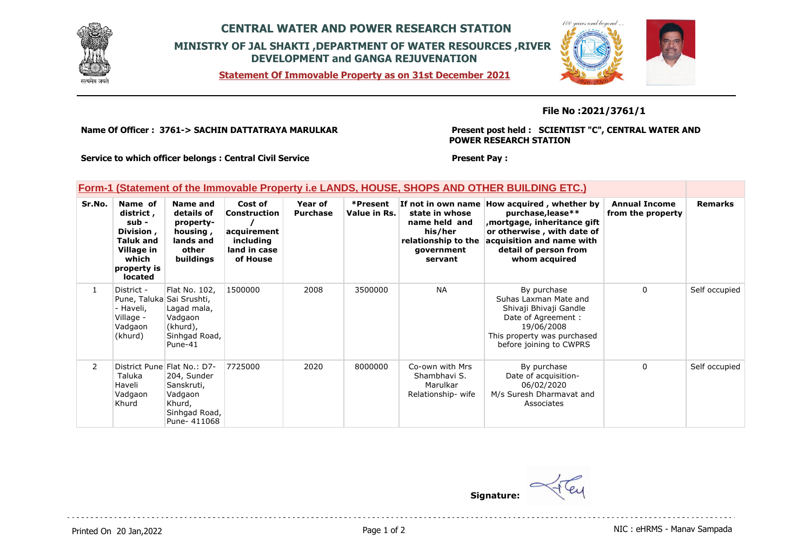

## **CENTRAL WATER AND POWER RESEARCH STATION MINISTRY OF JAL SHAKTI ,DEPARTMENT OF WATER RESOURCES ,RIVER DEVELOPMENT and GANGA REJUVENATION**

**Statement Of Immovable Property as on 31st December 2021**



### **File No :2021/3761/1**

**Name Of Officer : 3761-> SACHIN DATTATRAYA MARULKAR** 

### **Present post held : SCIENTIST "C", CENTRAL WATER AND POWER RESEARCH STATION**

**Service to which officer belongs : Central Civil Service**

#### **Present Pay :**

## **Form-1 (Statement of the Immovable Property i.e LANDS, HOUSE, SHOPS AND OTHER BUILDING ETC.)**

| Sr.No.         | Name of<br>district,<br>sub -<br>Division,<br>Taluk and<br>Village in<br>which<br>property is<br><b>located</b> | Name and<br>details of<br>property-<br>housing,<br>lands and<br>other<br>buildings                             | Cost of<br>Construction<br>acquirement<br>including<br>land in case<br>of House | Year of<br><b>Purchase</b> | *Present<br>Value in Rs. | If not in own name<br>state in whose<br>name held and<br>his/her<br>relationship to the<br>government<br>servant | How acquired, whether by<br>purchase, lease**<br>mortgage, inheritance gift,<br>or otherwise, with date of<br>acquisition and name with<br>detail of person from<br>whom acquired | <b>Annual Income</b><br>from the property | <b>Remarks</b> |
|----------------|-----------------------------------------------------------------------------------------------------------------|----------------------------------------------------------------------------------------------------------------|---------------------------------------------------------------------------------|----------------------------|--------------------------|------------------------------------------------------------------------------------------------------------------|-----------------------------------------------------------------------------------------------------------------------------------------------------------------------------------|-------------------------------------------|----------------|
| $\mathbf{1}$   | District -<br>Pune, Taluka Sai Srushti,<br>Haveli,<br>Village -<br>Vadgaon<br>(khurd)                           | Flat No. 102,<br>Lagad mala,<br>Vadgaon<br>(khurd),<br>Sinhgad Road,<br>Pune-41                                | 1500000                                                                         | 2008                       | 3500000                  | <b>NA</b>                                                                                                        | By purchase<br>Suhas Laxman Mate and<br>Shivaji Bhivaji Gandle<br>Date of Agreement :<br>19/06/2008<br>This property was purchased<br>before joining to CWPRS                     | $\Omega$                                  | Self occupied  |
| $\mathsf{2}^-$ | Taluka<br>Haveli<br>Vadgaon<br>Khurd                                                                            | District Pune Flat No.: D7-<br>204, Sunder<br>Sanskruti,<br>Vadgaon<br>Khurd,<br>Sinhgad Road,<br>Pune- 411068 | 7725000                                                                         | 2020                       | 8000000                  | Co-own with Mrs<br>Shambhavi S.<br>Marulkar<br>Relationship-wife                                                 | By purchase<br>Date of acquisition-<br>06/02/2020<br>M/s Suresh Dharmavat and<br>Associates                                                                                       | $\Omega$                                  | Self occupied  |

**Signature:**

Printed On 20 Jan, 2022 **Page 1 of 2** Page 1 of 2 **Page 1 of 2** NIC : eHRMS - Manav Sampada